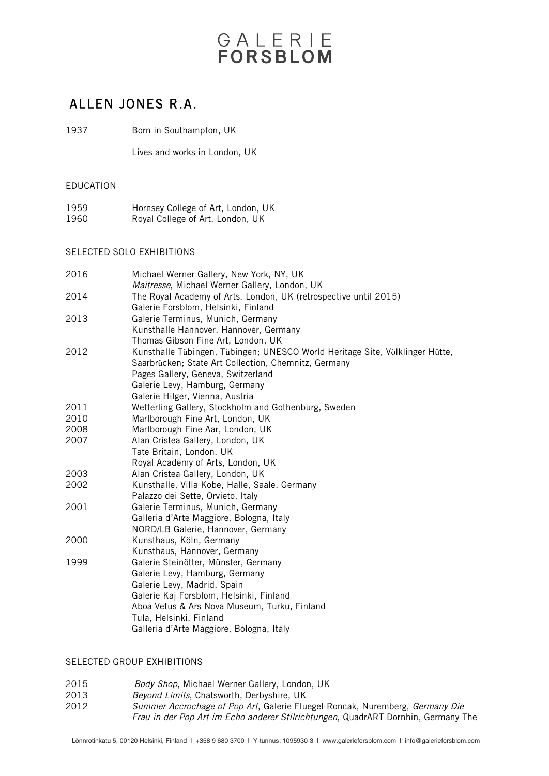# GALERIE

### ALLEN JONES R.A.

1937 Born in Southampton, UK

Lives and works in London, UK

#### EDUCATION

| 1959 | Hornsey College of Art, London, UK |
|------|------------------------------------|
| 1960 | Royal College of Art, London, UK   |

#### SELECTED SOLO EXHIBITIONS

| 2016 | Michael Werner Gallery, New York, NY, UK                                     |
|------|------------------------------------------------------------------------------|
|      | Maitresse, Michael Werner Gallery, London, UK                                |
| 2014 | The Royal Academy of Arts, London, UK (retrospective until 2015)             |
|      | Galerie Forsblom, Helsinki, Finland                                          |
| 2013 | Galerie Terminus, Munich, Germany                                            |
|      | Kunsthalle Hannover, Hannover, Germany                                       |
|      | Thomas Gibson Fine Art, London, UK                                           |
| 2012 | Kunsthalle Tübingen, Tübingen; UNESCO World Heritage Site, Völklinger Hütte, |
|      | Saarbrücken; State Art Collection, Chemnitz, Germany                         |
|      | Pages Gallery, Geneva, Switzerland                                           |
|      | Galerie Levy, Hamburg, Germany                                               |
|      | Galerie Hilger, Vienna, Austria                                              |
| 2011 | Wetterling Gallery, Stockholm and Gothenburg, Sweden                         |
| 2010 | Marlborough Fine Art, London, UK                                             |
| 2008 | Marlborough Fine Aar, London, UK                                             |
| 2007 | Alan Cristea Gallery, London, UK                                             |
|      | Tate Britain, London, UK                                                     |
|      | Royal Academy of Arts, London, UK                                            |
| 2003 | Alan Cristea Gallery, London, UK                                             |
| 2002 | Kunsthalle, Villa Kobe, Halle, Saale, Germany                                |
|      | Palazzo dei Sette, Orvieto, Italy                                            |
| 2001 | Galerie Terminus, Munich, Germany                                            |
|      | Galleria d'Arte Maggiore, Bologna, Italy                                     |
|      | NORD/LB Galerie, Hannover, Germany                                           |
| 2000 | Kunsthaus, Köln, Germany                                                     |
|      | Kunsthaus, Hannover, Germany                                                 |
| 1999 | Galerie Steinötter, Münster, Germany                                         |
|      | Galerie Levy, Hamburg, Germany                                               |
|      | Galerie Levy, Madrid, Spain                                                  |
|      | Galerie Kaj Forsblom, Helsinki, Finland                                      |
|      | Aboa Vetus & Ars Nova Museum, Turku, Finland                                 |
|      | Tula, Helsinki, Finland                                                      |
|      | Galleria d'Arte Maggiore, Bologna, Italy                                     |

#### SELECTED GROUP EXHIBITIONS

- 2015 Body Shop, Michael Werner Gallery, London, UK<br>2013 Beyond Limits, Chatsworth, Derbyshire, UK
- 
- 2013 Beyond Limits, Chatsworth, Derbyshire, UK<br>2012 Summer Accrochage of Pop Art. Galerie Flue Summer Accrochage of Pop Art, Galerie Fluegel-Roncak, Nuremberg, Germany Die Frau in der Pop Art im Echo anderer Stilrichtungen, QuadrART Dornhin, Germany The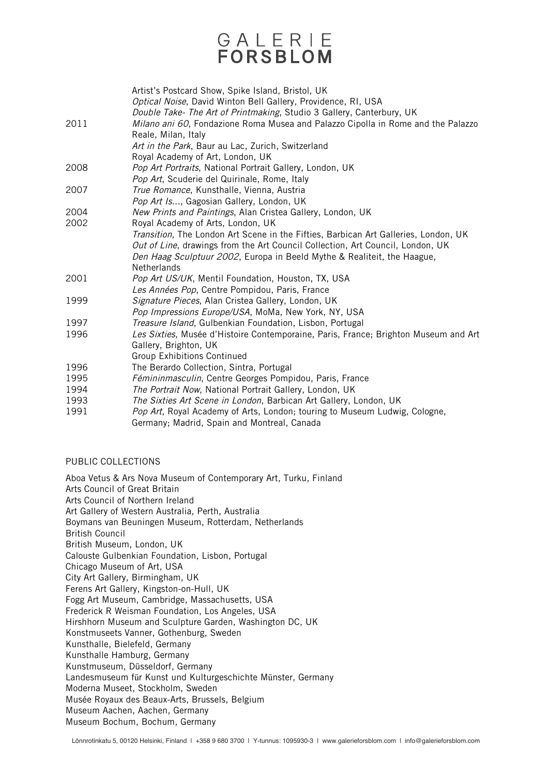## GALERIE **FORSBLOM**

|      | Artist's Postcard Show, Spike Island, Bristol, UK                                                                                      |
|------|----------------------------------------------------------------------------------------------------------------------------------------|
|      | Optical Noise, David Winton Bell Gallery, Providence, RI, USA<br>Double Take- The Art of Printmaking, Studio 3 Gallery, Canterbury, UK |
| 2011 | Milano ani 60, Fondazione Roma Musea and Palazzo Cipolla in Rome and the Palazzo<br>Reale, Milan, Italy                                |
|      | Art in the Park, Baur au Lac, Zurich, Switzerland                                                                                      |
|      | Royal Academy of Art, London, UK                                                                                                       |
| 2008 | Pop Art Portraits, National Portrait Gallery, London, UK                                                                               |
|      | Pop Art, Scuderie del Quirinale, Rome, Italy                                                                                           |
| 2007 | True Romance, Kunsthalle, Vienna, Austria                                                                                              |
|      | Pop Art Is, Gagosian Gallery, London, UK                                                                                               |
| 2004 | New Prints and Paintings, Alan Cristea Gallery, London, UK                                                                             |
| 2002 | Royal Academy of Arts, London, UK                                                                                                      |
|      | Transition, The London Art Scene in the Fifties, Barbican Art Galleries, London, UK                                                    |
|      | Out of Line, drawings from the Art Council Collection, Art Council, London, UK                                                         |
|      | Den Haag Sculptuur 2002, Europa in Beeld Mythe & Realiteit, the Haague,                                                                |
|      | Netherlands                                                                                                                            |
| 2001 | Pop Art US/UK, Mentil Foundation, Houston, TX, USA                                                                                     |
|      | Les Années Pop, Centre Pompidou, Paris, France                                                                                         |
| 1999 | Signature Pieces, Alan Cristea Gallery, London, UK                                                                                     |
|      | Pop Impressions Europe/USA, MoMa, New York, NY, USA                                                                                    |
| 1997 | Treasure Island, Gulbenkian Foundation, Lisbon, Portugal                                                                               |
| 1996 | Les Sixties, Musée d'Histoire Contemporaine, Paris, France; Brighton Museum and Art                                                    |
|      | Gallery, Brighton, UK                                                                                                                  |
|      | <b>Group Exhibitions Continued</b>                                                                                                     |
| 1996 | The Berardo Collection, Sintra, Portugal                                                                                               |
| 1995 | Fémininmasculin, Centre Georges Pompidou, Paris, France                                                                                |
| 1994 | The Portrait Now, National Portrait Gallery, London, UK                                                                                |
| 1993 | The Sixties Art Scene in London, Barbican Art Gallery, London, UK                                                                      |
| 1991 | Pop Art, Royal Academy of Arts, London; touring to Museum Ludwig, Cologne,                                                             |
|      | Germany; Madrid, Spain and Montreal, Canada                                                                                            |

#### PUBLIC COLLECTIONS

Aboa Vetus & Ars Nova Museum of Contemporary Art, Turku, Finland Arts Council of Great Britain Arts Council of Northern Ireland Art Gallery of Western Australia, Perth, Australia Boymans van Beuningen Museum, Rotterdam, Netherlands British Council British Museum, London, UK Calouste Gulbenkian Foundation, Lisbon, Portugal Chicago Museum of Art, USA City Art Gallery, Birmingham, UK Ferens Art Gallery, Kingston-on-Hull, UK Fogg Art Museum, Cambridge, Massachusetts, USA Frederick R Weisman Foundation, Los Angeles, USA Hirshhorn Museum and Sculpture Garden, Washington DC, UK Konstmuseets Vanner, Gothenburg, Sweden Kunsthalle, Bielefeld, Germany Kunsthalle Hamburg, Germany Kunstmuseum, Düsseldorf, Germany Landesmuseum fűr Kunst und Kulturgeschichte Műnster, Germany Moderna Museet, Stockholm, Sweden Musée Royaux des Beaux-Arts, Brussels, Belgium Museum Aachen, Aachen, Germany Museum Bochum, Bochum, Germany